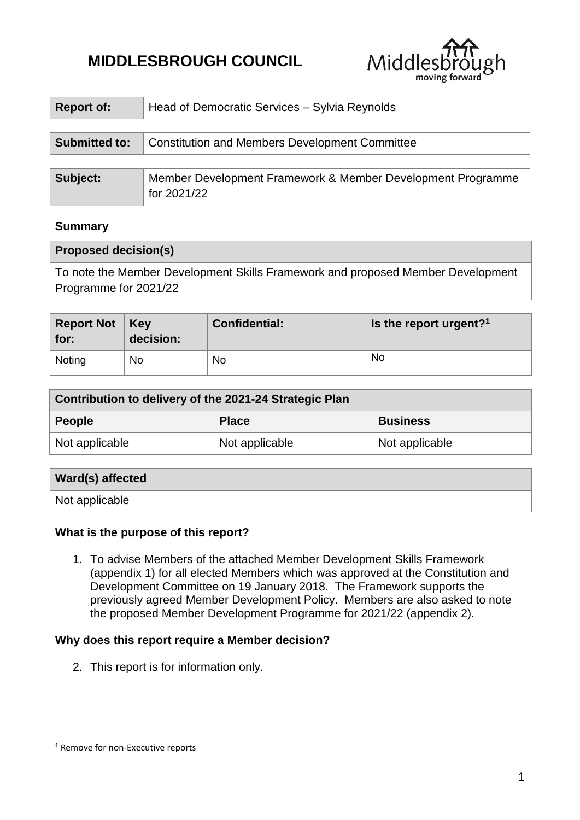# **MIDDLESBROUGH COUNCIL**



| <b>Report of:</b>    | Head of Democratic Services - Sylvia Reynolds                              |  |
|----------------------|----------------------------------------------------------------------------|--|
|                      |                                                                            |  |
| <b>Submitted to:</b> | <b>Constitution and Members Development Committee</b>                      |  |
|                      |                                                                            |  |
| Subject:             | Member Development Framework & Member Development Programme<br>for 2021/22 |  |

#### **Summary**

| <b>Proposed decision(s)</b>                                                     |
|---------------------------------------------------------------------------------|
| To note the Member Development Skills Framework and proposed Member Development |
| Programme for 2021/22                                                           |

| <b>Report Not</b>   Key<br>for: | decision: | <b>Confidential:</b> | Is the report urgent? <sup>1</sup> |
|---------------------------------|-----------|----------------------|------------------------------------|
| Noting                          | No        | <b>No</b>            | No                                 |

| Contribution to delivery of the 2021-24 Strategic Plan |                |                 |  |  |
|--------------------------------------------------------|----------------|-----------------|--|--|
| <b>People</b>                                          | <b>Place</b>   | <b>Business</b> |  |  |
| Not applicable                                         | Not applicable | Not applicable  |  |  |

| Ward(s) affected |  |
|------------------|--|
| Not applicable   |  |

## **What is the purpose of this report?**

1. To advise Members of the attached Member Development Skills Framework (appendix 1) for all elected Members which was approved at the Constitution and Development Committee on 19 January 2018. The Framework supports the previously agreed Member Development Policy. Members are also asked to note the proposed Member Development Programme for 2021/22 (appendix 2).

#### **Why does this report require a Member decision?**

2. This report is for information only.

1

<sup>&</sup>lt;sup>1</sup> Remove for non-Executive reports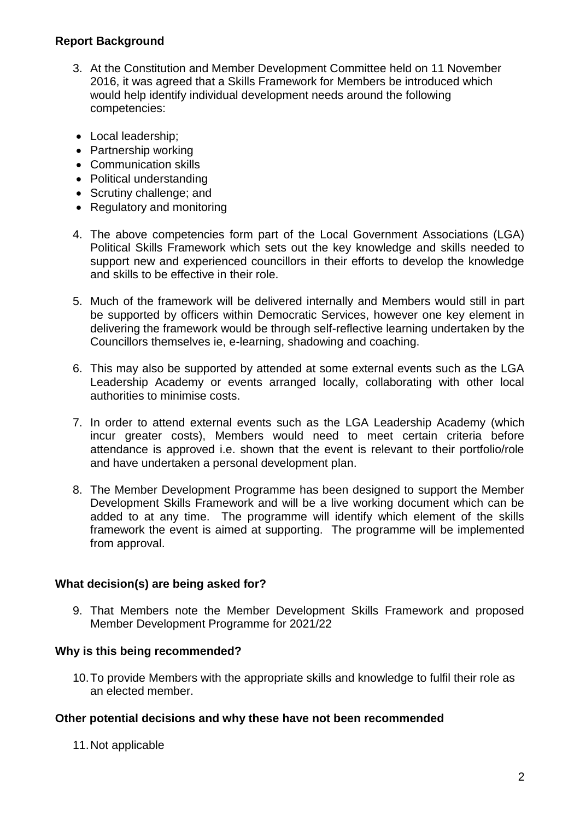#### **Report Background**

- 3. At the Constitution and Member Development Committee held on 11 November 2016, it was agreed that a Skills Framework for Members be introduced which would help identify individual development needs around the following competencies:
- Local leadership;
- Partnership working
- Communication skills
- Political understanding
- Scrutiny challenge; and
- Regulatory and monitoring
- 4. The above competencies form part of the Local Government Associations (LGA) Political Skills Framework which sets out the key knowledge and skills needed to support new and experienced councillors in their efforts to develop the knowledge and skills to be effective in their role.
- 5. Much of the framework will be delivered internally and Members would still in part be supported by officers within Democratic Services, however one key element in delivering the framework would be through self-reflective learning undertaken by the Councillors themselves ie, e-learning, shadowing and coaching.
- 6. This may also be supported by attended at some external events such as the LGA Leadership Academy or events arranged locally, collaborating with other local authorities to minimise costs.
- 7. In order to attend external events such as the LGA Leadership Academy (which incur greater costs), Members would need to meet certain criteria before attendance is approved i.e. shown that the event is relevant to their portfolio/role and have undertaken a personal development plan.
- 8. The Member Development Programme has been designed to support the Member Development Skills Framework and will be a live working document which can be added to at any time. The programme will identify which element of the skills framework the event is aimed at supporting. The programme will be implemented from approval.

## **What decision(s) are being asked for?**

9. That Members note the Member Development Skills Framework and proposed Member Development Programme for 2021/22

#### **Why is this being recommended?**

10.To provide Members with the appropriate skills and knowledge to fulfil their role as an elected member.

#### **Other potential decisions and why these have not been recommended**

11.Not applicable